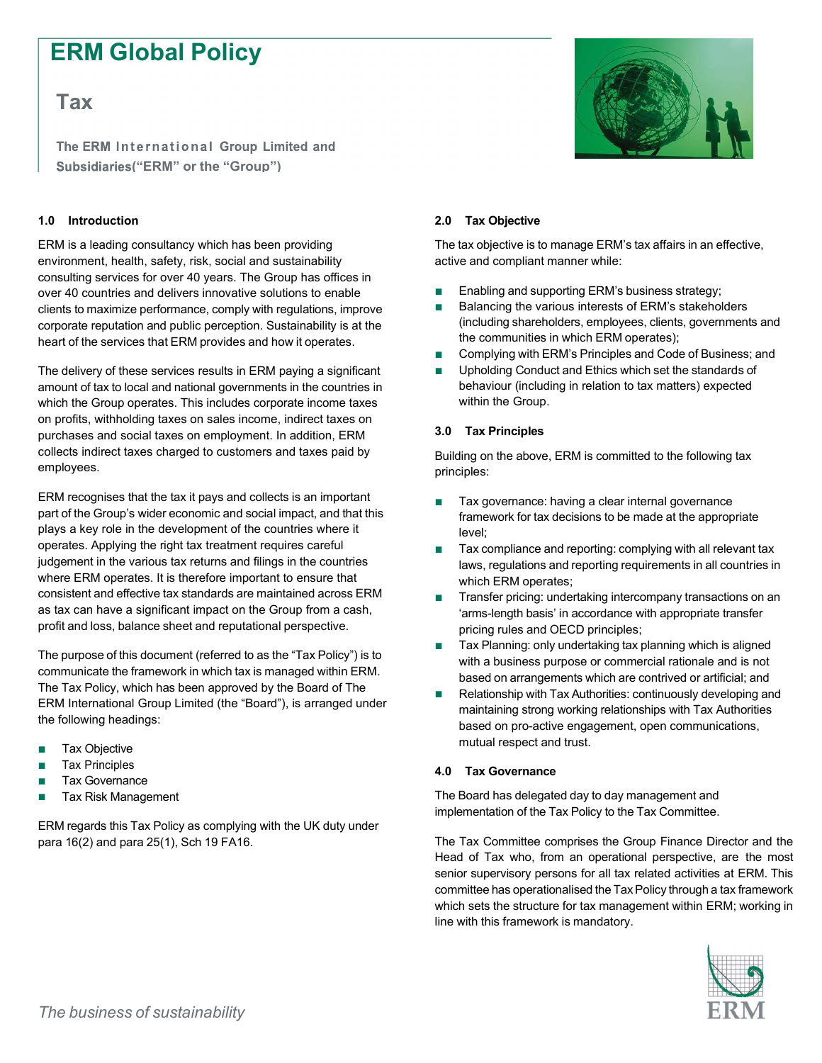# ERM Global Policy

# Tax

The ERM International Group Limited and Subsidiaries ("ERM" or the "Group")

## 1.0 Introduction

ERM is a leading consultancy which has been providing environment, health, safety, risk, social and sustainability consulting services for over 40 years. The Group has offices in over 40 countries and delivers innovative solutions to enable clients to maximize performance, comply with regulations, improve corporate reputation and public perception. Sustainability is at the heart of the services that ERM provides and how it operates.

The delivery of these services results in ERM paying a significant amount of tax to local and national governments in the countries in which the Group operates. This includes corporate income taxes on profits, withholding taxes on sales income, indirect taxes on purchases and social taxes on employment. In addition, ERM collects indirect taxes charged to customers and taxes paid by employees.

ERM recognises that the tax it pays and collects is an important part of the Group's wider economic and social impact, and that this plays a key role in the development of the countries where it operates. Applying the right tax treatment requires careful judgement in the various tax returns and filings in the countries where ERM operates. It is therefore important to ensure that consistent and effective tax standards are maintained across ERM as tax can have a significant impact on the Group from a cash, profit and loss, balance sheet and reputational perspective.

The purpose of this document (referred to as the "Tax Policy") is to communicate the framework in which tax is managed within ERM. The Tax Policy, which has been approved by the Board of The ERM International Group Limited (the "Board"), is arranged under the following headings:

- Tax Objective
- Tax Principles
- Tax Governance
- Tax Risk Management

ERM regards this Tax Policy as complying with the UK duty under para 16(2) and para 25(1), Sch 19 FA16.



#### 2.0 Tax Objective

The tax objective is to manage ERM's tax affairs in an effective, active and compliant manner while:

- Enabling and supporting ERM's business strategy;
- Balancing the various interests of ERM's stakeholders (including shareholders, employees, clients, governments and the communities in which ERM operates);
- Complying with ERM's Principles and Code of Business; and
- Upholding Conduct and Ethics which set the standards of behaviour (including in relation to tax matters) expected within the Group.

#### 3.0 Tax Principles

Building on the above, ERM is committed to the following tax principles:

- Tax governance: having a clear internal governance framework for tax decisions to be made at the appropriate level;
- Tax compliance and reporting: complying with all relevant tax laws, regulations and reporting requirements in all countries in which ERM operates;
- Transfer pricing: undertaking intercompany transactions on an 'arms-length basis' in accordance with appropriate transfer pricing rules and OECD principles;
- Tax Planning: only undertaking tax planning which is aligned with a business purpose or commercial rationale and is not based on arrangements which are contrived or artificial; and
- Relationship with Tax Authorities: continuously developing and maintaining strong working relationships with Tax Authorities based on pro-active engagement, open communications, mutual respect and trust.

## 4.0 Tax Governance

The Board has delegated day to day management and implementation of the Tax Policy to the Tax Committee.

The Tax Committee comprises the Group Finance Director and the Head of Tax who, from an operational perspective, are the most senior supervisory persons for all tax related activities at ERM. This committee has operationalised the Tax Policy through a tax framework which sets the structure for tax management within ERM; working in line with this framework is mandatory.